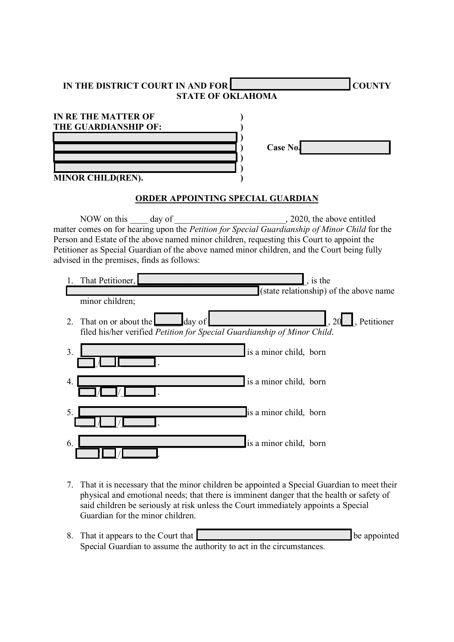| IN THE DISTRICT COURT IN AND FOR<br><b>COUNTY</b><br><b>STATE OF OKLAHOMA</b>                                                                                                                                                                                                                                                                                                                                                    |
|----------------------------------------------------------------------------------------------------------------------------------------------------------------------------------------------------------------------------------------------------------------------------------------------------------------------------------------------------------------------------------------------------------------------------------|
| <b>IN RE THE MATTER OF</b><br>THE GUARDIANSHIP OF:<br><b>Case No.</b>                                                                                                                                                                                                                                                                                                                                                            |
| MINOR CHILD(REN).<br><b>ORDER APPOINTING SPECIAL GUARDIAN</b>                                                                                                                                                                                                                                                                                                                                                                    |
| NOW on this day of 3000 and the Petition for Special Guardianship of Minor Child for the matter comes on for hearing upon the Petition for Special Guardianship of Minor Child for the<br>Person and Estate of the above named minor children, requesting this Court to appoint the<br>Petitioner as Special Guardian of the above named minor children, and the Court being fully<br>advised in the premises, finds as follows: |
| That Petitioner,<br>, is the<br>Ι.<br>(state relationship) of the above name<br>minor children;                                                                                                                                                                                                                                                                                                                                  |
| $, 20$ , Petitioner<br>That on or about the day of<br>2.<br>filed his/her verified Petition for Special Guardianship of Minor Child.                                                                                                                                                                                                                                                                                             |
| is a minor child, born<br>3.                                                                                                                                                                                                                                                                                                                                                                                                     |
| is a minor child, born<br>4.                                                                                                                                                                                                                                                                                                                                                                                                     |
| 5.<br>is a minor child, born                                                                                                                                                                                                                                                                                                                                                                                                     |
| 6.<br>is a minor child, born                                                                                                                                                                                                                                                                                                                                                                                                     |

- 7. That it is necessary that the minor children be appointed a Special Guardian to meet their physical and emotional needs; that there is imminent danger that the health or safety of said children be seriously at risk unless the Court immediately appoints a Special Guardian for the minor children.
- 8. That it appears to the Court that **Dependence in the Court of the Court of the Court of the Court of the Court of the Court of the Court of the Court of the Court of the Court of the Court of the Court of the Court of t** Special Guardian to assume the authority to act in the circumstances.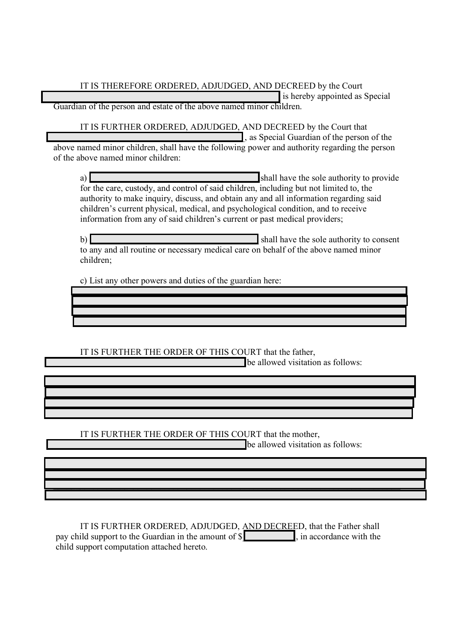IT IS THEREFORE ORDERED, ADJUDGED, AND DECREED by the Court \_\_\_\_\_\_\_\_\_\_\_\_\_\_\_\_\_\_\_\_\_\_\_\_\_\_\_\_\_\_\_\_\_\_\_\_\_\_\_\_\_\_\_\_\_\_\_\_\_\_\_ is hereby appointed as Special Guardian of the person and estate of the above named minor children.

 IT IS FURTHER ORDERED, ADJUDGED, AND DECREED by the Court that  $\Box$ , as Special Guardian of the person of the above named minor children, shall have the following power and authority regarding the person

of the above named minor children: a) **a** shall have the sole authority to provide for the care, custody, and control of said children, including but not limited to, the

authority to make inquiry, discuss, and obtain any and all information regarding said children's current physical, medical, and psychological condition, and to receive information from any of said children's current or past medical providers;

b)  $\blacksquare$ to any and all routine or necessary medical care on behalf of the above named minor children;

 $\mathcal{L}_\text{max}$  and  $\mathcal{L}_\text{max}$  and  $\mathcal{L}_\text{max}$  and  $\mathcal{L}_\text{max}$  and  $\mathcal{L}_\text{max}$  and  $\mathcal{L}_\text{max}$  $\mathcal{L}_\text{max} = \mathcal{L}_\text{max} = \mathcal{L}_\text{max} = \mathcal{L}_\text{max} = \mathcal{L}_\text{max} = \mathcal{L}_\text{max} = \mathcal{L}_\text{max} = \mathcal{L}_\text{max} = \mathcal{L}_\text{max} = \mathcal{L}_\text{max} = \mathcal{L}_\text{max} = \mathcal{L}_\text{max} = \mathcal{L}_\text{max} = \mathcal{L}_\text{max} = \mathcal{L}_\text{max} = \mathcal{L}_\text{max} = \mathcal{L}_\text{max} = \mathcal{L}_\text{max} = \mathcal{$  $\mathcal{L}_\text{max} = \mathcal{L}_\text{max} = \mathcal{L}_\text{max} = \mathcal{L}_\text{max} = \mathcal{L}_\text{max} = \mathcal{L}_\text{max} = \mathcal{L}_\text{max} = \mathcal{L}_\text{max} = \mathcal{L}_\text{max} = \mathcal{L}_\text{max} = \mathcal{L}_\text{max} = \mathcal{L}_\text{max} = \mathcal{L}_\text{max} = \mathcal{L}_\text{max} = \mathcal{L}_\text{max} = \mathcal{L}_\text{max} = \mathcal{L}_\text{max} = \mathcal{L}_\text{max} = \mathcal{$  $\mathcal{L}_\text{max} = \mathcal{L}_\text{max} = \mathcal{L}_\text{max} = \mathcal{L}_\text{max} = \mathcal{L}_\text{max} = \mathcal{L}_\text{max} = \mathcal{L}_\text{max} = \mathcal{L}_\text{max} = \mathcal{L}_\text{max} = \mathcal{L}_\text{max} = \mathcal{L}_\text{max} = \mathcal{L}_\text{max} = \mathcal{L}_\text{max} = \mathcal{L}_\text{max} = \mathcal{L}_\text{max} = \mathcal{L}_\text{max} = \mathcal{L}_\text{max} = \mathcal{L}_\text{max} = \mathcal{$ 

 $\mathcal{L}_\text{max} = \mathcal{L}_\text{max} = \mathcal{L}_\text{max} = \mathcal{L}_\text{max} = \mathcal{L}_\text{max} = \mathcal{L}_\text{max} = \mathcal{L}_\text{max} = \mathcal{L}_\text{max} = \mathcal{L}_\text{max} = \mathcal{L}_\text{max} = \mathcal{L}_\text{max} = \mathcal{L}_\text{max} = \mathcal{L}_\text{max} = \mathcal{L}_\text{max} = \mathcal{L}_\text{max} = \mathcal{L}_\text{max} = \mathcal{L}_\text{max} = \mathcal{L}_\text{max} = \mathcal{$ 

 $\mathcal{L}_\text{max} = \mathcal{L}_\text{max} = \mathcal{L}_\text{max} = \mathcal{L}_\text{max} = \mathcal{L}_\text{max} = \mathcal{L}_\text{max} = \mathcal{L}_\text{max} = \mathcal{L}_\text{max} = \mathcal{L}_\text{max} = \mathcal{L}_\text{max} = \mathcal{L}_\text{max} = \mathcal{L}_\text{max} = \mathcal{L}_\text{max} = \mathcal{L}_\text{max} = \mathcal{L}_\text{max} = \mathcal{L}_\text{max} = \mathcal{L}_\text{max} = \mathcal{L}_\text{max} = \mathcal{$ 

 $\mathcal{L}_\text{max}$  and  $\mathcal{L}_\text{max}$  and  $\mathcal{L}_\text{max}$  and  $\mathcal{L}_\text{max}$  and  $\mathcal{L}_\text{max}$  and  $\mathcal{L}_\text{max}$  $\mathcal{L}_\mathcal{L} = \mathcal{L}_\mathcal{L} = \mathcal{L}_\mathcal{L} = \mathcal{L}_\mathcal{L} = \mathcal{L}_\mathcal{L} = \mathcal{L}_\mathcal{L} = \mathcal{L}_\mathcal{L} = \mathcal{L}_\mathcal{L} = \mathcal{L}_\mathcal{L} = \mathcal{L}_\mathcal{L} = \mathcal{L}_\mathcal{L} = \mathcal{L}_\mathcal{L} = \mathcal{L}_\mathcal{L} = \mathcal{L}_\mathcal{L} = \mathcal{L}_\mathcal{L} = \mathcal{L}_\mathcal{L} = \mathcal{L}_\mathcal{L}$ \_\_\_\_\_\_\_\_\_\_\_\_\_\_\_\_\_\_\_\_\_\_\_\_\_\_\_\_\_\_\_\_\_\_\_\_\_\_\_\_\_\_\_\_\_\_\_\_\_\_\_\_\_\_\_\_\_\_\_\_\_\_\_\_\_\_\_\_\_\_\_\_\_\_\_\_\_\_

 $\mathcal{L}_\mathcal{L} = \mathcal{L}_\mathcal{L} = \mathcal{L}_\mathcal{L} = \mathcal{L}_\mathcal{L} = \mathcal{L}_\mathcal{L} = \mathcal{L}_\mathcal{L} = \mathcal{L}_\mathcal{L} = \mathcal{L}_\mathcal{L} = \mathcal{L}_\mathcal{L} = \mathcal{L}_\mathcal{L} = \mathcal{L}_\mathcal{L} = \mathcal{L}_\mathcal{L} = \mathcal{L}_\mathcal{L} = \mathcal{L}_\mathcal{L} = \mathcal{L}_\mathcal{L} = \mathcal{L}_\mathcal{L} = \mathcal{L}_\mathcal{L}$  $\mathcal{L}_\mathcal{L} = \mathcal{L}_\mathcal{L} = \mathcal{L}_\mathcal{L} = \mathcal{L}_\mathcal{L} = \mathcal{L}_\mathcal{L} = \mathcal{L}_\mathcal{L} = \mathcal{L}_\mathcal{L} = \mathcal{L}_\mathcal{L} = \mathcal{L}_\mathcal{L} = \mathcal{L}_\mathcal{L} = \mathcal{L}_\mathcal{L} = \mathcal{L}_\mathcal{L} = \mathcal{L}_\mathcal{L} = \mathcal{L}_\mathcal{L} = \mathcal{L}_\mathcal{L} = \mathcal{L}_\mathcal{L} = \mathcal{L}_\mathcal{L}$  $\mathcal{L}_\mathcal{L} = \mathcal{L}_\mathcal{L} = \mathcal{L}_\mathcal{L} = \mathcal{L}_\mathcal{L} = \mathcal{L}_\mathcal{L} = \mathcal{L}_\mathcal{L} = \mathcal{L}_\mathcal{L} = \mathcal{L}_\mathcal{L} = \mathcal{L}_\mathcal{L} = \mathcal{L}_\mathcal{L} = \mathcal{L}_\mathcal{L} = \mathcal{L}_\mathcal{L} = \mathcal{L}_\mathcal{L} = \mathcal{L}_\mathcal{L} = \mathcal{L}_\mathcal{L} = \mathcal{L}_\mathcal{L} = \mathcal{L}_\mathcal{L}$ 

c) List any other powers and duties of the guardian here:

IT IS FURTHER THE ORDER OF THIS COURT that the father,

**Example allowed visitation as follows:** 

IT IS FURTHER THE ORDER OF THIS COURT that the mother,

**Example allowed visitation as follows:** 

 IT IS FURTHER ORDERED, ADJUDGED, AND DECREED, that the Father shall pay child support to the Guardian in the amount of  $\S$  , in accordance with the child support computation attached hereto.